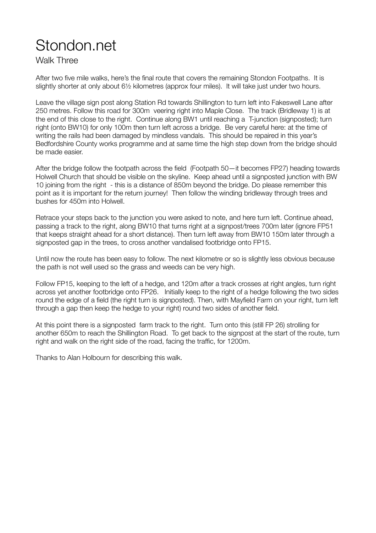## Stondon.net

Walk Three

After two five mile walks, here's the final route that covers the remaining Stondon Footpaths. It is slightly shorter at only about 6½ kilometres (approx four miles). It will take just under two hours.

Leave the village sign post along Station Rd towards Shillington to turn left into Fakeswell Lane after 250 metres. Follow this road for 300m veering right into Maple Close. The track (Bridleway 1) is at the end of this close to the right. Continue along BW1 until reaching a T-junction (signposted); turn right (onto BW10) for only 100m then turn left across a bridge. Be very careful here: at the time of writing the rails had been damaged by mindless vandals. This should be repaired in this year's Bedfordshire County works programme and at same time the high step down from the bridge should be made easier.

After the bridge follow the footpath across the field (Footpath 50—it becomes FP27) heading towards Holwell Church that should be visible on the skyline. Keep ahead until a signposted junction with BW 10 joining from the right - this is a distance of 850m beyond the bridge. Do please remember this point as it is important for the return journey! Then follow the winding bridleway through trees and bushes for 450m into Holwell.

Retrace your steps back to the junction you were asked to note, and here turn left. Continue ahead, passing a track to the right, along BW10 that turns right at a signpost/trees 700m later (ignore FP51 that keeps straight ahead for a short distance). Then turn left away from BW10 150m later through a signposted gap in the trees, to cross another vandalised footbridge onto FP15.

Until now the route has been easy to follow. The next kilometre or so is slightly less obvious because the path is not well used so the grass and weeds can be very high.

Follow FP15, keeping to the left of a hedge, and 120m after a track crosses at right angles, turn right across yet another footbridge onto FP26. Initially keep to the right of a hedge following the two sides round the edge of a field (the right turn is signposted). Then, with Mayfield Farm on your right, turn left through a gap then keep the hedge to your right) round two sides of another field.

At this point there is a signposted farm track to the right. Turn onto this (still FP 26) strolling for another 650m to reach the Shillington Road. To get back to the signpost at the start of the route, turn right and walk on the right side of the road, facing the traffic, for 1200m.

Thanks to Alan Holbourn for describing this walk.